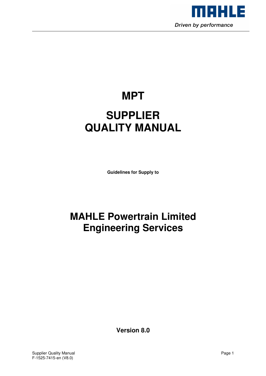

## **MPT**

# **SUPPLIER QUALITY MANUAL**

**Guidelines for Supply to** 

## **MAHLE Powertrain Limited Engineering Services**

**Version 8.0**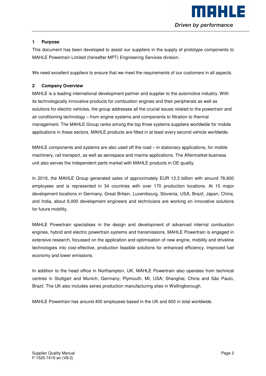

#### **1 Purpose**

This document has been developed to assist our suppliers in the supply of prototype components to MAHLE Powertrain Limited (hereafter MPT) Engineering Services division.

We need excellent suppliers to ensure that we meet the requirements of our customers in all aspects.

#### **2 Company Overview**

MAHLE is a leading international development partner and supplier to the automotive industry. With its technologically innovative products for combustion engines and their peripherals as well as solutions for electric vehicles, the group addresses all the crucial issues related to the powertrain and air conditioning technology – from engine systems and components to filtration to thermal management. The MAHLE Group ranks among the top three systems suppliers worldwide for mobile applications in these sectors. MAHLE products are fitted in at least every second vehicle worldwide.

MAHLE components and systems are also used off the road – in stationary applications, for mobile machinery, rail transport, as well as aerospace and marine applications. The Aftermarket business unit also serves the independent parts market with MAHLE products in OE quality.

In 2016, the MAHLE Group generated sales of approximately EUR 12.3 billion with around 76,600 employees and is represented in 34 countries with over 170 production locations. At 15 major development locations in Germany, Great Britain, Luxembourg, Slovenia, USA, Brazil, Japan, China, and India, about 6,000 development engineers and technicians are working on innovative solutions for future mobility.

MAHLE Powertrain specialises in the design and development of advanced internal combustion engines, hybrid and electric powertrain systems and transmissions. MAHLE Powertrain is engaged in extensive research, focussed on the application and optimisation of new engine, mobility and driveline technologies into cost-effective, production feasible solutions for enhanced efficiency, improved fuel economy and lower emissions.

In addition to the head office in Northampton, UK, MAHLE Powertrain also operates from technical centres in Stuttgart and Munich, Germany; Plymouth, MI, USA; Shanghai, China and São Paulo, Brazil. The UK also includes series production manufacturing sites in Wellingborough.

MAHLE Powertrain has around 400 employees based in the UK and 600 in total worldwide.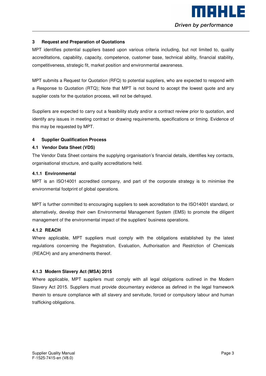

#### **3 Request and Preparation of Quotations**

MPT identifies potential suppliers based upon various criteria including, but not limited to, quality accreditations, capability, capacity, competence, customer base, technical ability, financial stability, competitiveness, strategic fit, market position and environmental awareness.

MPT submits a Request for Quotation (RFQ) to potential suppliers, who are expected to respond with a Response to Quotation (RTQ); Note that MPT is not bound to accept the lowest quote and any supplier costs for the quotation process, will not be defrayed.

Suppliers are expected to carry out a feasibility study and/or a contract review prior to quotation, and identify any issues in meeting contract or drawing requirements, specifications or timing. Evidence of this may be requested by MPT.

#### **4 Supplier Qualification Process**

#### **4.1 Vendor Data Sheet (VDS)**

The Vendor Data Sheet contains the supplying organisation's financial details, identifies key contacts, organisational structure, and quality accreditations held.

#### **4.1.1 Environmental**

MPT is an ISO14001 accredited company, and part of the corporate strategy is to minimise the environmental footprint of global operations.

MPT is further committed to encouraging suppliers to seek accreditation to the ISO14001 standard, or alternatively, develop their own Environmental Management System (EMS) to promote the diligent management of the environmental impact of the suppliers' business operations.

#### **4.1.2 REACH**

Where applicable, MPT suppliers must comply with the obligations established by the latest regulations concerning the Registration, Evaluation, Authorisation and Restriction of Chemicals (REACH) and any amendments thereof.

#### **4.1.3 Modern Slavery Act (MSA) 2015**

Where applicable, MPT suppliers must comply with all legal obligations outlined in the Modern Slavery Act 2015. Suppliers must provide documentary evidence as defined in the legal framework therein to ensure compliance with all slavery and servitude, forced or compulsory labour and human trafficking obligations.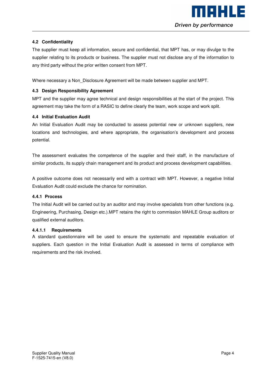

#### **4.2 Confidentiality**

The supplier must keep all information, secure and confidential, that MPT has, or may divulge to the supplier relating to its products or business. The supplier must not disclose any of the information to any third party without the prior written consent from MPT.

Where necessary a Non Disclosure Agreement will be made between supplier and MPT.

#### **4.3 Design Responsibility Agreement**

MPT and the supplier may agree technical and design responsibilities at the start of the project. This agreement may take the form of a RASIC to define clearly the team, work scope and work split.

#### **4.4 Initial Evaluation Audit**

An Initial Evaluation Audit may be conducted to assess potential new or unknown suppliers, new locations and technologies, and where appropriate, the organisation's development and process potential.

The assessment evaluates the competence of the supplier and their staff, in the manufacture of similar products, its supply chain management and its product and process development capabilities.

A positive outcome does not necessarily end with a contract with MPT. However, a negative Initial Evaluation Audit could exclude the chance for nomination.

#### **4.4.1 Process**

The Initial Audit will be carried out by an auditor and may involve specialists from other functions (e.g. Engineering, Purchasing, Design etc.).MPT retains the right to commission MAHLE Group auditors or qualified external auditors.

#### **4.4.1.1 Requirements**

A standard questionnaire will be used to ensure the systematic and repeatable evaluation of suppliers. Each question in the Initial Evaluation Audit is assessed in terms of compliance with requirements and the risk involved.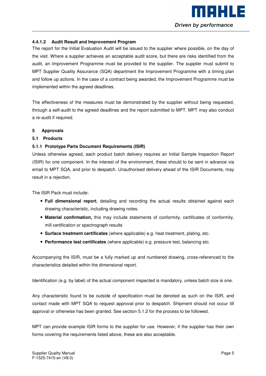

#### **4.4.1.2 Audit Result and Improvement Program**

The report for the Initial Evaluation Audit will be issued to the supplier where possible, on the day of the visit. Where a supplier achieves an acceptable audit score, but there are risks identified from the audit, an Improvement Programme must be provided to the supplier. The supplier must submit to MPT Supplier Quality Assurance (SQA) department the Improvement Programme with a timing plan and follow up actions. In the case of a contract being awarded, the Improvement Programme must be implemented within the agreed deadlines.

The effectiveness of the measures must be demonstrated by the supplier without being requested, through a self-audit to the agreed deadlines and the report submitted to MPT. MPT may also conduct a re-audit if required.

#### **5 Approvals**

#### **5.1 Products**

#### **5.1.1 Prototype Parts Document Requirements (ISIR)**

Unless otherwise agreed, each product batch delivery requires an Initial Sample Inspection Report (ISIR) for one component. In the interest of the environment, these should to be sent in advance via email to MPT SQA, and prior to despatch. Unauthorised delivery ahead of the ISIR Documents, may result in a rejection.

The ISIR Pack must include:

- **Full dimensional report**, detailing and recording the actual results obtained against each drawing characteristic, including drawing notes.
- **Material confirmation,** this may include statements of conformity, certificates of conformity, mill certification or spectrograph results
- **Surface treatment certificates** (where applicable) e.g. heat treatment, plating, etc.
- **Performance test certificates** (where applicable) e.g. pressure test, balancing etc.

Accompanying the ISIR, must be a fully marked up and numbered drawing, cross-referenced to the characteristics detailed within the dimensional report.

Identification (e.g. by label) of the actual component inspected is mandatory, unless batch size is one.

Any characteristic found to be outside of specification must be denoted as such on the ISIR, and contact made with MPT SQA to request approval prior to despatch. Shipment should not occur till approval or otherwise has been granted. See section 5.1.2 for the process to be followed.

MPT can provide example ISIR forms to the supplier for use. However, if the supplier has their own forms covering the requirements listed above, these are also acceptable.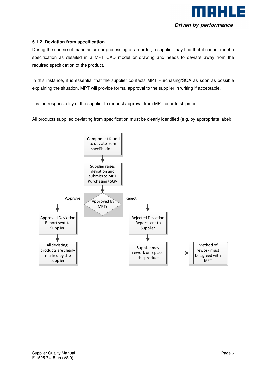

#### **5.1.2 Deviation from specification**

During the course of manufacture or processing of an order, a supplier may find that it cannot meet a specification as detailed in a MPT CAD model or drawing and needs to deviate away from the required specification of the product.

In this instance, it is essential that the supplier contacts MPT Purchasing/SQA as soon as possible explaining the situation. MPT will provide formal approval to the supplier in writing if acceptable.

It is the responsibility of the supplier to request approval from MPT prior to shipment.

All products supplied deviating from specification must be clearly identified (e.g. by appropriate label).

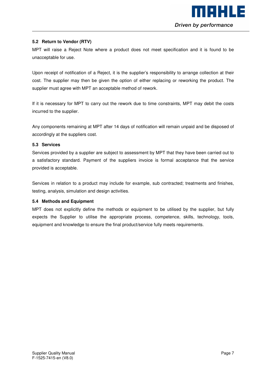

#### **5.2 Return to Vendor (RTV)**

MPT will raise a Reject Note where a product does not meet specification and it is found to be unacceptable for use.

Upon receipt of notification of a Reject, it is the supplier's responsibility to arrange collection at their cost. The supplier may then be given the option of either replacing or reworking the product. The supplier must agree with MPT an acceptable method of rework.

If it is necessary for MPT to carry out the rework due to time constraints, MPT may debit the costs incurred to the supplier.

Any components remaining at MPT after 14 days of notification will remain unpaid and be disposed of accordingly at the suppliers cost.

#### **5.3 Services**

Services provided by a supplier are subject to assessment by MPT that they have been carried out to a satisfactory standard. Payment of the suppliers invoice is formal acceptance that the service provided is acceptable.

Services in relation to a product may include for example, sub contracted; treatments and finishes, testing, analysis, simulation and design activities.

#### **5.4 Methods and Equipment**

MPT does not explicitly define the methods or equipment to be utilised by the supplier, but fully expects the Supplier to utilise the appropriate process, competence, skills, technology, tools, equipment and knowledge to ensure the final product/service fully meets requirements.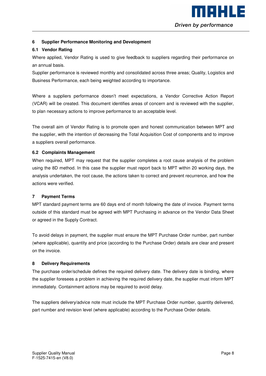

#### **6 Supplier Performance Monitoring and Development**

#### **6.1 Vendor Rating**

Where applied, Vendor Rating is used to give feedback to suppliers regarding their performance on an annual basis.

Supplier performance is reviewed monthly and consolidated across three areas; Quality, Logistics and Business Performance, each being weighted according to importance.

Where a suppliers performance doesn't meet expectations, a Vendor Corrective Action Report (VCAR) will be created. This document identifies areas of concern and is reviewed with the supplier, to plan necessary actions to improve performance to an acceptable level.

The overall aim of Vendor Rating is to promote open and honest communication between MPT and the supplier, with the intention of decreasing the Total Acquisition Cost of components and to improve a suppliers overall performance.

#### **6.2 Complaints Management**

When required, MPT may request that the supplier completes a root cause analysis of the problem using the 8D method. In this case the supplier must report back to MPT within 20 working days, the analysis undertaken, the root cause, the actions taken to correct and prevent recurrence, and how the actions were verified.

#### **7 Payment Terms**

MPT standard payment terms are 60 days end of month following the date of invoice. Payment terms outside of this standard must be agreed with MPT Purchasing in advance on the Vendor Data Sheet or agreed in the Supply Contract.

To avoid delays in payment, the supplier must ensure the MPT Purchase Order number, part number (where applicable), quantity and price (according to the Purchase Order) details are clear and present on the invoice.

#### **8 Delivery Requirements**

The purchase order/schedule defines the required delivery date. The delivery date is binding, where the supplier foresees a problem in achieving the required delivery date, the supplier must inform MPT immediately. Containment actions may be required to avoid delay.

The suppliers delivery/advice note must include the MPT Purchase Order number, quantity delivered, part number and revision level (where applicable) according to the Purchase Order details.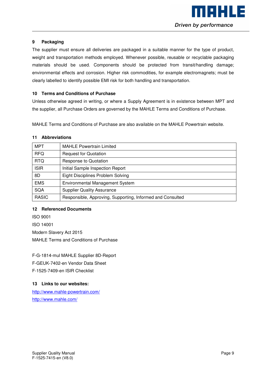

#### **9 Packaging**

The supplier must ensure all deliveries are packaged in a suitable manner for the type of product, weight and transportation methods employed. Whenever possible, reusable or recyclable packaging materials should be used. Components should be protected from transit/handling damage; environmental effects and corrosion. Higher risk commodities, for example electromagnets; must be clearly labelled to identify possible EMI risk for both handling and transportation.

#### **10 Terms and Conditions of Purchase**

Unless otherwise agreed in writing, or where a Supply Agreement is in existence between MPT and the supplier, all Purchase Orders are governed by the MAHLE Terms and Conditions of Purchase.

MAHLE Terms and Conditions of Purchase are also available on the MAHLE Powertrain website.

#### **11 Abbreviations**

| MPT          | <b>MAHLE Powertrain Limited</b>                            |  |
|--------------|------------------------------------------------------------|--|
| <b>RFQ</b>   | <b>Request for Quotation</b>                               |  |
| <b>RTQ</b>   | Response to Quotation                                      |  |
| <b>ISIR</b>  | Initial Sample Inspection Report                           |  |
| 8D           | Eight Disciplines Problem Solving                          |  |
| <b>EMS</b>   | <b>Environmental Management System</b>                     |  |
| <b>SQA</b>   | <b>Supplier Quality Assurance</b>                          |  |
| <b>RASIC</b> | Responsible, Approving, Supporting, Informed and Consulted |  |

#### **12 Referenced Documents**

ISO 9001 ISO 14001 Modern Slavery Act 2015 MAHLE Terms and Conditions of Purchase

F-G-1814-mul MAHLE Supplier 8D-Report F-GEUK-7402-en Vendor Data Sheet F-1525-7409-en ISIR Checklist

#### **13 Links to our websites:**

http://www.mahle-powertrain.com/ http://www.mahle.com/